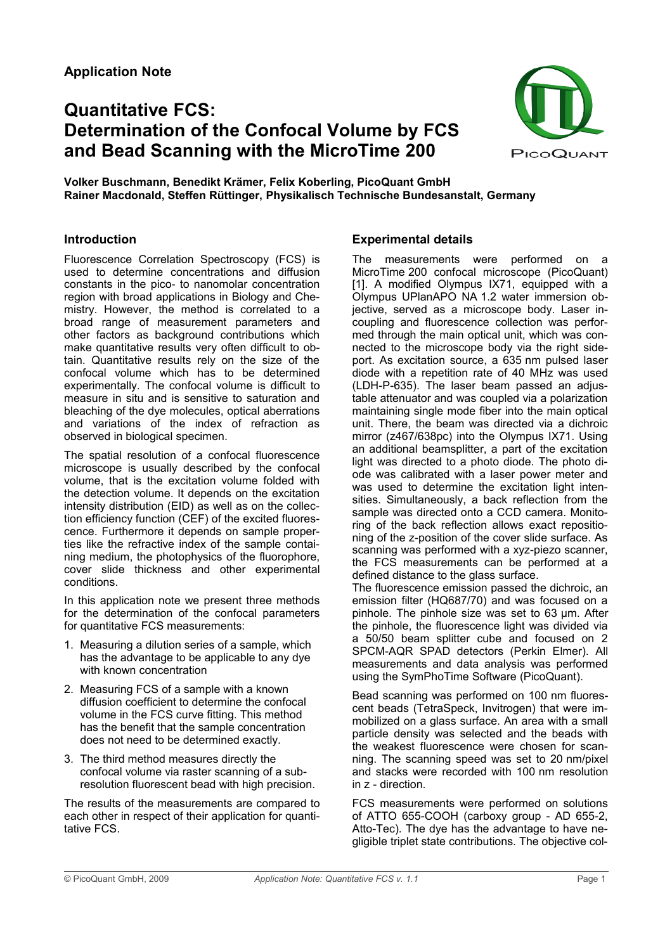# **Quantitative FCS: Determination of the Confocal Volume by FCS and Bead Scanning with the MicroTime 200**



**Volker Buschmann, Benedikt Krämer, Felix Koberling, PicoQuant GmbH Rainer Macdonald, Steffen Rüttinger, Physikalisch Technische Bundesanstalt, Germany**

## **Introduction**

Fluorescence Correlation Spectroscopy (FCS) is used to determine concentrations and diffusion constants in the pico- to nanomolar concentration region with broad applications in Biology and Chemistry. However, the method is correlated to a broad range of measurement parameters and other factors as background contributions which make quantitative results very often difficult to obtain. Quantitative results rely on the size of the confocal volume which has to be determined experimentally. The confocal volume is difficult to measure in situ and is sensitive to saturation and bleaching of the dye molecules, optical aberrations and variations of the index of refraction as observed in biological specimen.

The spatial resolution of a confocal fluorescence microscope is usually described by the confocal volume, that is the excitation volume folded with the detection volume. It depends on the excitation intensity distribution (EID) as well as on the collection efficiency function (CEF) of the excited fluorescence. Furthermore it depends on sample properties like the refractive index of the sample containing medium, the photophysics of the fluorophore, cover slide thickness and other experimental conditions.

In this application note we present three methods for the determination of the confocal parameters for quantitative FCS measurements:

- 1. Measuring a dilution series of a sample, which has the advantage to be applicable to any dye with known concentration
- 2. Measuring FCS of a sample with a known diffusion coefficient to determine the confocal volume in the FCS curve fitting. This method has the benefit that the sample concentration does not need to be determined exactly.
- 3. The third method measures directly the confocal volume via raster scanning of a subresolution fluorescent bead with high precision.

The results of the measurements are compared to each other in respect of their application for quantitative FCS.

# **Experimental details**

The measurements were performed on a MicroTime 200 confocal microscope (PicoQuant) [1]. A modified Olympus IX71, equipped with a Olympus UPlanAPO NA 1.2 water immersion objective, served as a microscope body. Laser incoupling and fluorescence collection was performed through the main optical unit, which was connected to the microscope body via the right sideport. As excitation source, a 635 nm pulsed laser diode with a repetition rate of 40 MHz was used (LDH-P-635). The laser beam passed an adjustable attenuator and was coupled via a polarization maintaining single mode fiber into the main optical unit. There, the beam was directed via a dichroic mirror (z467/638pc) into the Olympus IX71. Using an additional beamsplitter, a part of the excitation light was directed to a photo diode. The photo diode was calibrated with a laser power meter and was used to determine the excitation light intensities. Simultaneously, a back reflection from the sample was directed onto a CCD camera. Monitoring of the back reflection allows exact repositioning of the z-position of the cover slide surface. As scanning was performed with a xyz-piezo scanner, the FCS measurements can be performed at a defined distance to the glass surface.

The fluorescence emission passed the dichroic, an emission filter (HQ687/70) and was focused on a pinhole. The pinhole size was set to 63 µm. After the pinhole, the fluorescence light was divided via a 50/50 beam splitter cube and focused on 2 SPCM-AQR SPAD detectors (Perkin Elmer). All measurements and data analysis was performed using the SymPhoTime Software (PicoQuant).

Bead scanning was performed on 100 nm fluorescent beads (TetraSpeck, Invitrogen) that were immobilized on a glass surface. An area with a small particle density was selected and the beads with the weakest fluorescence were chosen for scanning. The scanning speed was set to 20 nm/pixel and stacks were recorded with 100 nm resolution in z - direction.

FCS measurements were performed on solutions of ATTO 655-COOH (carboxy group - AD 655-2, Atto-Tec). The dye has the advantage to have negligible triplet state contributions. The objective col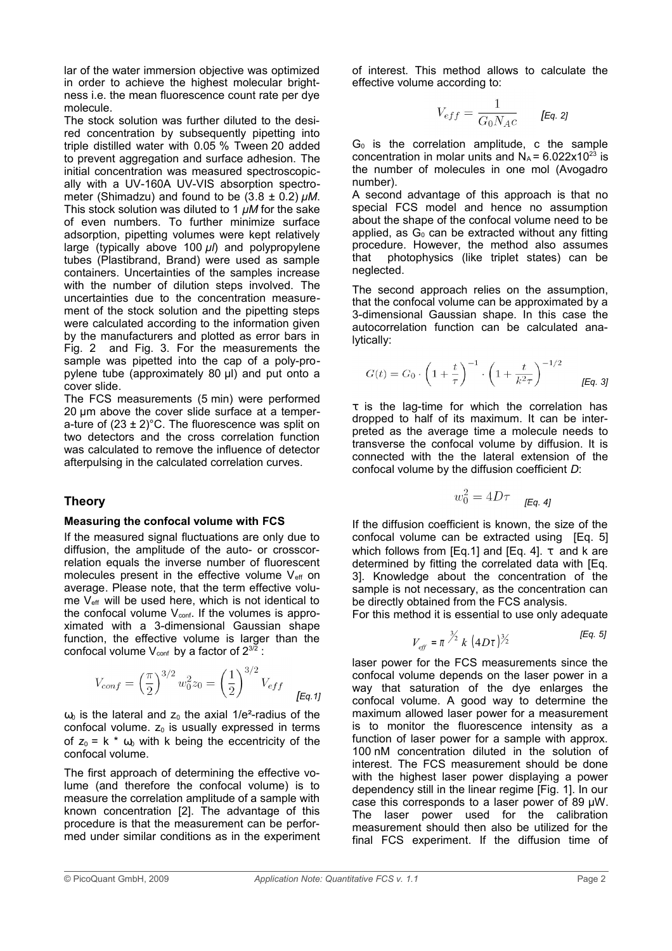lar of the water immersion objective was optimized in order to achieve the highest molecular brightness i.e. the mean fluorescence count rate per dye molecule.

The stock solution was further diluted to the desired concentration by subsequently pipetting into triple distilled water with 0.05 % Tween 20 added to prevent aggregation and surface adhesion. The initial concentration was measured spectroscopically with a UV-160A UV-VIS absorption spectrometer (Shimadzu) and found to be (3*.*8 *±* 0*.*2) *μM*. This stock solution was diluted to 1 *μM* for the sake of even numbers. To further minimize surface adsorption, pipetting volumes were kept relatively large (typically above 100 *μl*) and polypropylene tubes (Plastibrand, Brand) were used as sample containers. Uncertainties of the samples increase with the number of dilution steps involved. The uncertainties due to the concentration measurement of the stock solution and the pipetting steps were calculated according to the information given by the manufacturers and plotted as error bars in Fig. 2 and Fig. 3. For the measurements the sample was pipetted into the cap of a poly-propylene tube (approximately 80 µl) and put onto a cover slide.

The FCS measurements (5 min) were performed 20 µm above the cover slide surface at a tempera-ture of  $(23 \pm 2)$ °C. The fluorescence was split on two detectors and the cross correlation function was calculated to remove the influence of detector afterpulsing in the calculated correlation curves.

# **Theory**

### **Measuring the confocal volume with FCS**

If the measured signal fluctuations are only due to diffusion, the amplitude of the auto- or crosscorrelation equals the inverse number of fluorescent molecules present in the effective volume  $V_{\text{eff}}$  on average. Please note, that the term effective volume  $V_{\text{eff}}$  will be used here, which is not identical to the confocal volume  $V_{conf.}$  If the volumes is approximated with a 3-dimensional Gaussian shape function, the effective volume is larger than the confocal volume  $V_{\text{conf}}$  by a factor of  $2^{3/2}$  :

$$
V_{conf} = \left(\frac{\pi}{2}\right)^{3/2} w_0^2 z_0 = \left(\frac{1}{2}\right)^{3/2} V_{eff}
$$
 [Eq. 1]

 $ω<sub>0</sub>$  is the lateral and  $z<sub>0</sub>$  the axial 1/e<sup>2</sup>-radius of the confocal volume.  $z_0$  is usually expressed in terms of  $z_0 = k * \omega_0$  with k being the eccentricity of the confocal volume.

The first approach of determining the effective volume (and therefore the confocal volume) is to measure the correlation amplitude of a sample with known concentration  $I2I$ . The advantage of this procedure is that the measurement can be performed under similar conditions as in the experiment of interest. This method allows to calculate the effective volume according to:

$$
V_{eff} = \frac{1}{G_0 N_A c} \qquad \text{[Eq. 2]}
$$

 $G_0$  is the correlation amplitude, c the sample concentration in molar units and  $N_A$  = 6.022x10<sup>23</sup> is the number of molecules in one mol (Avogadro number).

A second advantage of this approach is that no special FCS model and hence no assumption about the shape of the confocal volume need to be applied, as  $G_0$  can be extracted without any fitting procedure. However, the method also assumes that photophysics (like triplet states) can be neglected.

The second approach relies on the assumption, that the confocal volume can be approximated by a 3-dimensional Gaussian shape. In this case the autocorrelation function can be calculated analytically:

$$
G(t) = G_0 \cdot \left(1 + \frac{t}{\tau}\right)^{-1} \cdot \left(1 + \frac{t}{k^2 \tau}\right)^{-1/2}
$$
 [Eq. 3]

 $\tau$  is the lag-time for which the correlation has dropped to half of its maximum. It can be interpreted as the average time a molecule needs to transverse the confocal volume by diffusion. It is connected with the the lateral extension of the confocal volume by the diffusion coefficient *D*:

$$
w_0^2=4D\tau \quad \text{ [Eq. 4]}
$$

If the diffusion coefficient is known, the size of the confocal volume can be extracted using [Eq. 5] which follows from [Eq.1] and [Eq. 4].  $\tau$  and k are determined by fitting the correlated data with [Eq. 3]. Knowledge about the concentration of the sample is not necessary, as the concentration can be directly obtained from the FCS analysis.

For this method it is essential to use only adequate

$$
V_{\text{eff}} = \pi \frac{3}{2} k (4Dt)^{3/2}
$$
 [Eq. 5]

laser power for the FCS measurements since the confocal volume depends on the laser power in a way that saturation of the dye enlarges the confocal volume. A good way to determine the maximum allowed laser power for a measurement is to monitor the fluorescence intensity as a function of laser power for a sample with approx. 100 nM concentration diluted in the solution of interest. The FCS measurement should be done with the highest laser power displaying a power dependency still in the linear regime [Fig. 1]. In our case this corresponds to a laser power of 89 µW. The laser power used for the calibration measurement should then also be utilized for the final FCS experiment. If the diffusion time of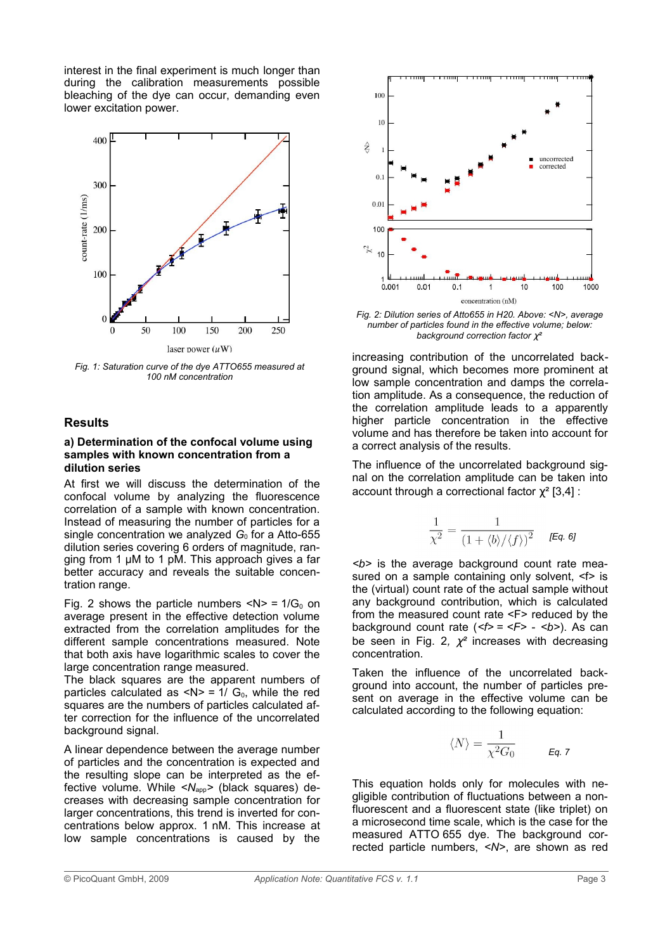interest in the final experiment is much longer than during the calibration measurements possible bleaching of the dye can occur, demanding even lower excitation power.



*Fig. 1: Saturation curve of the dye ATTO655 measured at 100 nM concentration*

## **Results**

#### **a) Determination of the confocal volume using samples with known concentration from a dilution series**

At first we will discuss the determination of the confocal volume by analyzing the fluorescence correlation of a sample with known concentration. Instead of measuring the number of particles for a single concentration we analyzed  $G_0$  for a Atto-655 dilution series covering 6 orders of magnitude, ranging from 1 µM to 1 pM. This approach gives a far better accuracy and reveals the suitable concentration range.

Fig. 2 shows the particle numbers  $< N$  = 1/ $G_0$  on average present in the effective detection volume extracted from the correlation amplitudes for the different sample concentrations measured. Note that both axis have logarithmic scales to cover the large concentration range measured.

The black squares are the apparent numbers of particles calculated as  $< N$  = 1/  $G_0$ , while the red squares are the numbers of particles calculated after correction for the influence of the uncorrelated background signal.

A linear dependence between the average number of particles and the concentration is expected and the resulting slope can be interpreted as the effective volume. While <N<sub>app</sub>> (black squares) decreases with decreasing sample concentration for larger concentrations, this trend is inverted for concentrations below approx. 1 nM. This increase at low sample concentrations is caused by the



*Fig. 2: Dilution series of Atto655 in H20. Above: <N>, average number of particles found in the effective volume; below: background correction factor* χ*²*

increasing contribution of the uncorrelated background signal, which becomes more prominent at low sample concentration and damps the correlation amplitude. As a consequence, the reduction of the correlation amplitude leads to a apparently higher particle concentration in the effective volume and has therefore be taken into account for a correct analysis of the results.

The influence of the uncorrelated background signal on the correlation amplitude can be taken into account through a correctional factor  $\gamma^2$  [3,4] :

$$
\frac{1}{\chi^2} = \frac{1}{\left(1 + \langle b \rangle / \langle f \rangle\right)^2} \quad \text{[Eq. 6]}
$$

*<b>* is the average background count rate measured on a sample containing only solvent,  $\le$  is the (virtual) count rate of the actual sample without any background contribution, which is calculated from the measured count rate <F> reduced by the background count rate (*<f>* = *<F>* - *<b>*). As can be seen in Fig. 2,  $\chi^2$  increases with decreasing concentration.

Taken the influence of the uncorrelated background into account, the number of particles present on average in the effective volume can be calculated according to the following equation:

$$
\langle N \rangle = \frac{1}{\chi^2 G_0} \qquad \qquad \text{Eq. 7}
$$

This equation holds only for molecules with negligible contribution of fluctuations between a nonfluorescent and a fluorescent state (like triplet) on a microsecond time scale, which is the case for the measured ATTO 655 dye. The background corrected particle numbers, *<N>*, are shown as red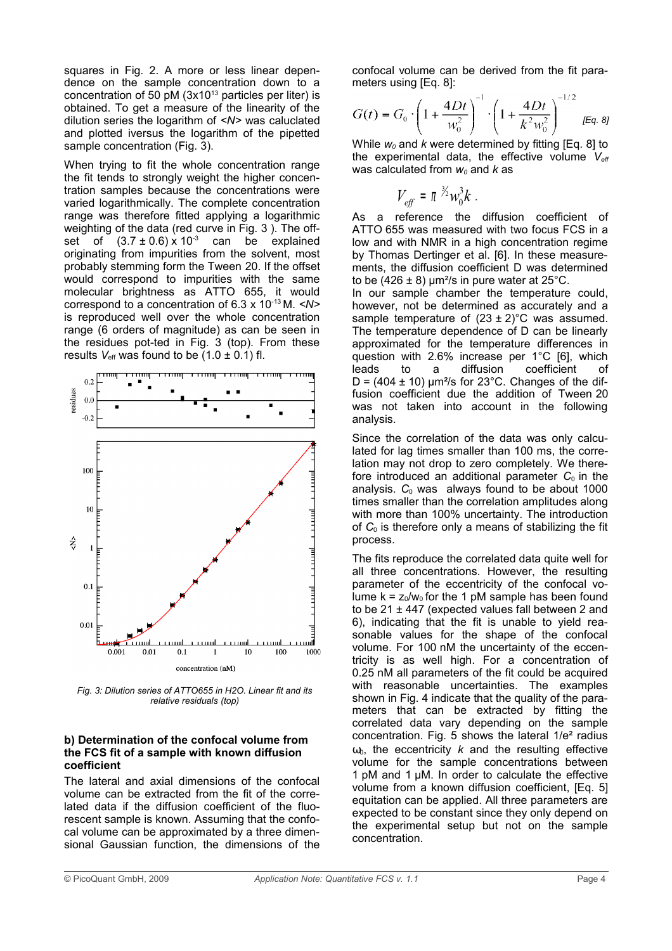squares in Fig. 2. A more or less linear dependence on the sample concentration down to a concentration of 50 pM  $(3x10^{13}$  particles per liter) is obtained. To get a measure of the linearity of the dilution series the logarithm of *<N>* was caluclated and plotted iversus the logarithm of the pipetted sample concentration (Fig. 3).

When trying to fit the whole concentration range the fit tends to strongly weight the higher concentration samples because the concentrations were varied logarithmically. The complete concentration range was therefore fitted applying a logarithmic weighting of the data (red curve in Fig. 3 ). The offset of  $(3.7 \pm 0.6) \times 10^{-3}$  can be explained originating from impurities from the solvent, most probably stemming form the Tween 20. If the offset would correspond to impurities with the same molecular brightness as ATTO 655, it would correspond to a concentration of 6.3 x 10-13 M. *<N>* is reproduced well over the whole concentration range (6 orders of magnitude) as can be seen in the residues pot-ted in Fig. 3 (top). From these results  $V_{\text{eff}}$  was found to be  $(1.0 \pm 0.1)$  fl.



*Fig. 3: Dilution series of ATTO655 in H2O. Linear fit and its relative residuals (top)*

## **b) Determination of the confocal volume from the FCS fit of a sample with known diffusion coefficient**

The lateral and axial dimensions of the confocal volume can be extracted from the fit of the correlated data if the diffusion coefficient of the fluorescent sample is known. Assuming that the confocal volume can be approximated by a three dimensional Gaussian function, the dimensions of the

confocal volume can be derived from the fit parameters using [Eq. 8]:

$$
G(t) = G_0 \cdot \left(1 + \frac{4Dt}{w_0^2}\right)^{-1} \cdot \left(1 + \frac{4Dt}{k^2w_0^2}\right)^{-1/2} \quad \text{[Eq. 8]}
$$

While *w0* and *k* were determined by fitting [Eq. 8] to the experimental data, the effective volume  $V_{\text{eff}}$ was calculated from *w0* and *k* as

$$
V_{\text{eff}} = \pi^{3/2} w_0^3 k \ .
$$

As a reference the diffusion coefficient of ATTO 655 was measured with two focus FCS in a low and with NMR in a high concentration regime by Thomas Dertinger et al. [6]. In these measurements, the diffusion coefficient D was determined to be (426  $\pm$  8) µm<sup>2</sup>/s in pure water at 25°C.

In our sample chamber the temperature could, however, not be determined as accurately and a sample temperature of  $(23 \pm 2)$ °C was assumed. The temperature dependence of D can be linearly approximated for the temperature differences in question with 2.6% increase per 1°C [6], which leads to a diffusion coefficient of D = (404  $\pm$  10) µm<sup>2</sup>/s for 23°C. Changes of the diffusion coefficient due the addition of Tween 20 was not taken into account in the following analysis.

Since the correlation of the data was only calculated for lag times smaller than 100 ms, the correlation may not drop to zero completely. We therefore introduced an additional parameter  $C_0$  in the analysis.  $C_0$  was always found to be about 1000 times smaller than the correlation amplitudes along with more than 100% uncertainty. The introduction of  $C_0$  is therefore only a means of stabilizing the fit process.

The fits reproduce the correlated data quite well for all three concentrations. However, the resulting parameter of the eccentricity of the confocal volume  $k = z_0/w_0$  for the 1 pM sample has been found to be 21  $\pm$  447 (expected values fall between 2 and 6), indicating that the fit is unable to yield reasonable values for the shape of the confocal volume. For 100 nM the uncertainty of the eccentricity is as well high. For a concentration of 0.25 nM all parameters of the fit could be acquired with reasonable uncertainties. The examples shown in Fig. 4 indicate that the quality of the parameters that can be extracted by fitting the correlated data vary depending on the sample concentration. Fig. 5 shows the lateral 1/e² radius  $\omega_0$ , the eccentricity *k* and the resulting effective volume for the sample concentrations between 1 pM and 1 µM. In order to calculate the effective volume from a known diffusion coefficient, [Eq. 5] equitation can be applied. All three parameters are expected to be constant since they only depend on the experimental setup but not on the sample concentration.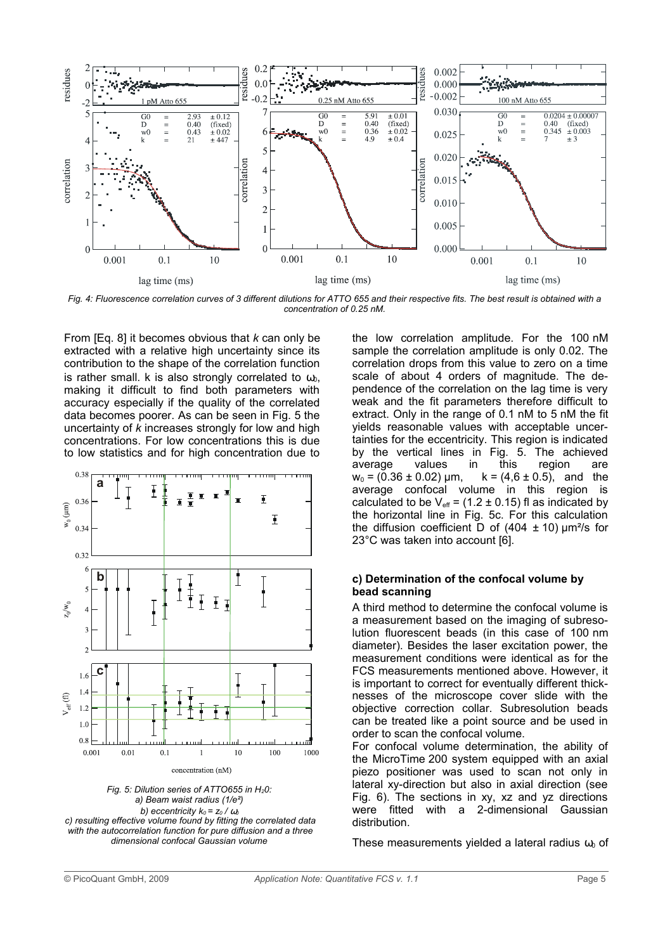

*Fig. 4: Fluorescence correlation curves of 3 different dilutions for ATTO 655 and their respective fits. The best result is obtained with a concentration of 0.25 nM.*

From [Eq. 8] it becomes obvious that *k* can only be extracted with a relative high uncertainty since its contribution to the shape of the correlation function is rather small. k is also strongly correlated to  $\omega_{0}$ , making it difficult to find both parameters with accuracy especially if the quality of the correlated data becomes poorer. As can be seen in Fig. 5 the uncertainty of *k* increases strongly for low and high concentrations. For low concentrations this is due to low statistics and for high concentration due to



*Fig. 5: Dilution series of ATTO655 in H20: a) Beam waist radius (1/e²) b) eccentricity k<sup>0</sup> = z<sup>0</sup> /* <sup>ω</sup>*<sup>0</sup> c) resulting effective volume found by fitting the correlated data with the autocorrelation function for pure diffusion and a three dimensional confocal Gaussian volume* 

the low correlation amplitude. For the 100 nM sample the correlation amplitude is only 0.02. The correlation drops from this value to zero on a time scale of about 4 orders of magnitude. The dependence of the correlation on the lag time is very weak and the fit parameters therefore difficult to extract. Only in the range of 0.1 nM to 5 nM the fit yields reasonable values with acceptable uncertainties for the eccentricity. This region is indicated by the vertical lines in Fig. 5. The achieved average values in this region are  $w_0 = (0.36 \pm 0.02)$  μm,  $k = (4.6 \pm 0.5)$ , and the average confocal volume in this region is calculated to be  $V_{\text{eff}}$  = (1.2 ± 0.15) fl as indicated by the horizontal line in Fig. 5c. For this calculation the diffusion coefficient  $\overline{D}$  of (404  $\pm$  10)  $\mu$ m<sup>2</sup>/s for 23°C was taken into account [6].

## **c) Determination of the confocal volume by bead scanning**

A third method to determine the confocal volume is a measurement based on the imaging of subresolution fluorescent beads (in this case of 100 nm diameter). Besides the laser excitation power, the measurement conditions were identical as for the FCS measurements mentioned above. However, it is important to correct for eventually different thicknesses of the microscope cover slide with the objective correction collar. Subresolution beads can be treated like a point source and be used in order to scan the confocal volume.

For confocal volume determination, the ability of the MicroTime 200 system equipped with an axial piezo positioner was used to scan not only in lateral xy-direction but also in axial direction (see Fig. 6). The sections in xy, xz and yz directions with a 2-dimensional Gaussian distribution.

These measurements yielded a lateral radius  $\omega_0$  of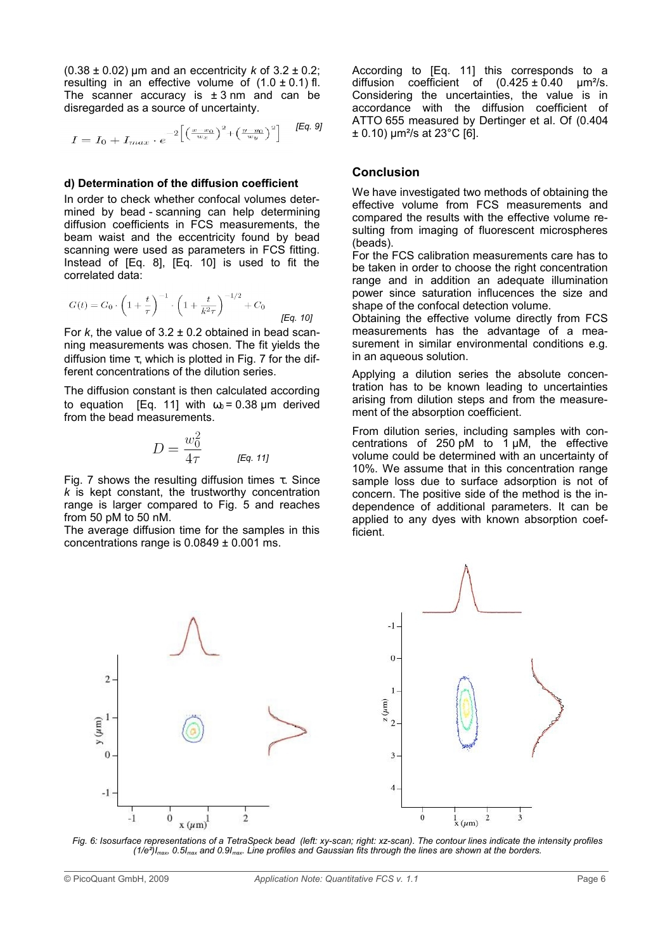$(0.38 \pm 0.02)$  µm and an eccentricity *k* of  $3.2 \pm 0.2$ ; resulting in an effective volume of  $(1.0 \pm 0.1)$  fl. The scanner accuracy is  $\pm 3$  nm and can be disregarded as a source of uncertainty.

$$
I=I_0+I_{max}\cdot e^{-2\left[\left(\frac{x-x_0}{w_x}\right)^2+\left(\frac{y-y_0}{w_y}\right)^2\right]}\quad\text{[Eq. 9]}
$$

#### **d) Determination of the diffusion coefficient**

In order to check whether confocal volumes determined by bead - scanning can help determining diffusion coefficients in FCS measurements, the beam waist and the eccentricity found by bead scanning were used as parameters in FCS fitting. Instead of [Eq. 8], [Eq. 10] is used to fit the correlated data:

$$
G(t) = G_0 \cdot \left(1 + \frac{t}{\tau}\right)^{-1} \cdot \left(1 + \frac{t}{k^2 \tau}\right)^{-1/2} + C_0
$$
 [Eq. 10]

For  $k$ , the value of  $3.2 \pm 0.2$  obtained in bead scanning measurements was chosen. The fit yields the diffusion time  $\tau$ , which is plotted in Fig. 7 for the different concentrations of the dilution series.

The diffusion constant is then calculated according to equation [Eq. 11] with  $\omega_0 = 0.38$  um derived from the bead measurements.

$$
D = \frac{w_0^2}{4\tau}
$$
 [Eq. 11]

Fig. 7 shows the resulting diffusion times  $τ$ . Since *k* is kept constant, the trustworthy concentration range is larger compared to Fig. 5 and reaches from 50 pM to 50 nM.

The average diffusion time for the samples in this concentrations range is  $0.0849 \pm 0.001$  ms.

According to [Eq. 11] this corresponds to a diffusion coefficient of  $(0.425 \pm 0.40 \text{ }\mu\text{m}^2/\text{s})$ . Considering the uncertainties, the value is in accordance with the diffusion coefficient of ATTO 655 measured by Dertinger et al. Of (0.404  $\pm$  0.10) um<sup>2</sup>/s at 23 $^{\circ}$ C [6].

## **Conclusion**

We have investigated two methods of obtaining the effective volume from FCS measurements and compared the results with the effective volume resulting from imaging of fluorescent microspheres (beads).

For the FCS calibration measurements care has to be taken in order to choose the right concentration range and in addition an adequate illumination power since saturation influcences the size and shape of the confocal detection volume.

Obtaining the effective volume directly from FCS measurements has the advantage of a measurement in similar environmental conditions e.g. in an aqueous solution.

Applying a dilution series the absolute concentration has to be known leading to uncertainties arising from dilution steps and from the measurement of the absorption coefficient.

From dilution series, including samples with concentrations of 250 pM to 1  $\mu$ M, the effective volume could be determined with an uncertainty of 10%. We assume that in this concentration range sample loss due to surface adsorption is not of concern. The positive side of the method is the independence of additional parameters. It can be applied to any dyes with known absorption coefficient.



*Fig. 6: Isosurface representations of a TetraSpeck bead (left: xy-scan; right: xz-scan). The contour lines indicate the intensity profiles (1/e²)Imax, 0.5Imax and 0.9Imax. Line profiles and Gaussian fits through the lines are shown at the borders.*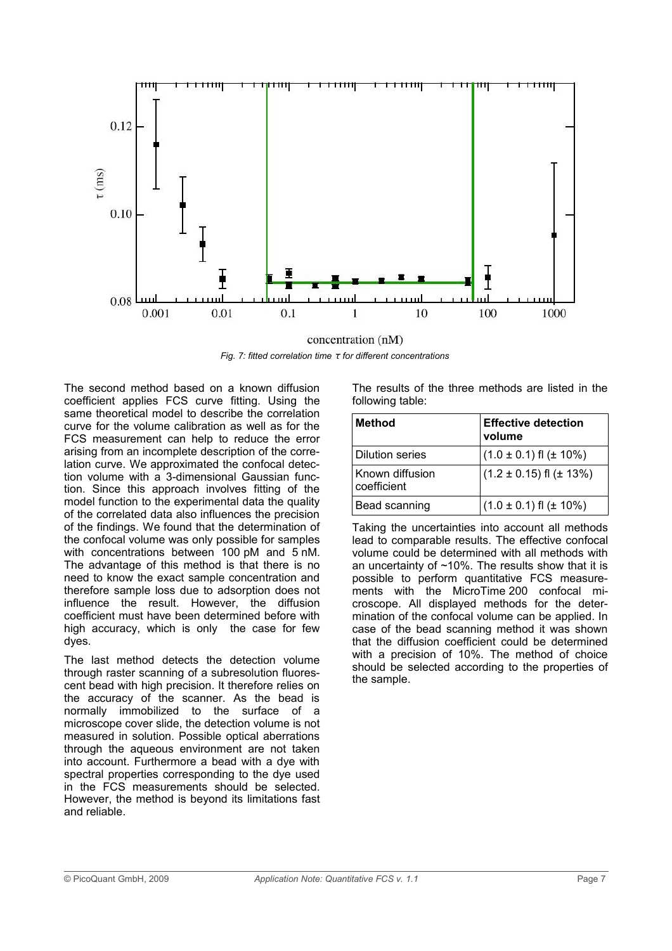

concentration (nM) *Fig. 7: fitted correlation time* τ *for different concentrations*

The second method based on a known diffusion coefficient applies FCS curve fitting. Using the same theoretical model to describe the correlation curve for the volume calibration as well as for the FCS measurement can help to reduce the error arising from an incomplete description of the correlation curve. We approximated the confocal detection volume with a 3-dimensional Gaussian function. Since this approach involves fitting of the model function to the experimental data the quality of the correlated data also influences the precision of the findings. We found that the determination of the confocal volume was only possible for samples with concentrations between 100 pM and 5 nM. The advantage of this method is that there is no need to know the exact sample concentration and therefore sample loss due to adsorption does not influence the result. However, the diffusion coefficient must have been determined before with high accuracy, which is only the case for few dyes.

The last method detects the detection volume through raster scanning of a subresolution fluorescent bead with high precision. It therefore relies on the accuracy of the scanner. As the bead is normally immobilized to the surface of a microscope cover slide, the detection volume is not measured in solution. Possible optical aberrations through the aqueous environment are not taken into account. Furthermore a bead with a dye with spectral properties corresponding to the dye used in the FCS measurements should be selected. However, the method is beyond its limitations fast and reliable.

The results of the three methods are listed in the following table:

| Method                         | <b>Effective detection</b><br>volume |
|--------------------------------|--------------------------------------|
| Dilution series                | $(1.0 \pm 0.1)$ fl ( $\pm$ 10%)      |
| Known diffusion<br>coefficient | $(1.2 \pm 0.15)$ fl ( $\pm$ 13%)     |
| Bead scanning                  | $(1.0 \pm 0.1)$ fl ( $\pm$ 10%)      |

Taking the uncertainties into account all methods lead to comparable results. The effective confocal volume could be determined with all methods with an uncertainty of  $~10\%$ . The results show that it is possible to perform quantitative FCS measurements with the MicroTime 200 confocal microscope. All displayed methods for the determination of the confocal volume can be applied. In case of the bead scanning method it was shown that the diffusion coefficient could be determined with a precision of 10%. The method of choice should be selected according to the properties of the sample.